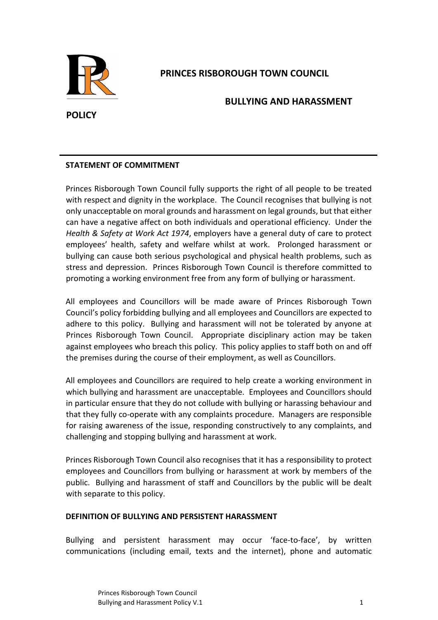

## **PRINCES RISBOROUGH TOWN COUNCIL**

## **BULLYING AND HARASSMENT**

# **POLICY**

## **STATEMENT OF COMMITMENT**

Princes Risborough Town Council fully supports the right of all people to be treated with respect and dignity in the workplace. The Council recognises that bullying is not only unacceptable on moral grounds and harassment on legal grounds, but that either can have a negative affect on both individuals and operational efficiency. Under the *Health & Safety at Work Act 1974*, employers have a general duty of care to protect employees' health, safety and welfare whilst at work. Prolonged harassment or bullying can cause both serious psychological and physical health problems, such as stress and depression. Princes Risborough Town Council is therefore committed to promoting a working environment free from any form of bullying or harassment.

All employees and Councillors will be made aware of Princes Risborough Town Council's policy forbidding bullying and all employees and Councillors are expected to adhere to this policy. Bullying and harassment will not be tolerated by anyone at Princes Risborough Town Council. Appropriate disciplinary action may be taken against employees who breach this policy. This policy applies to staff both on and off the premises during the course of their employment, as well as Councillors.

All employees and Councillors are required to help create a working environment in which bullying and harassment are unacceptable. Employees and Councillors should in particular ensure that they do not collude with bullying or harassing behaviour and that they fully co-operate with any complaints procedure. Managers are responsible for raising awareness of the issue, responding constructively to any complaints, and challenging and stopping bullying and harassment at work.

Princes Risborough Town Council also recognises that it has a responsibility to protect employees and Councillors from bullying or harassment at work by members of the public. Bullying and harassment of staff and Councillors by the public will be dealt with separate to this policy.

## **DEFINITION OF BULLYING AND PERSISTENT HARASSMENT**

Bullying and persistent harassment may occur 'face‐to‐face', by written communications (including email, texts and the internet), phone and automatic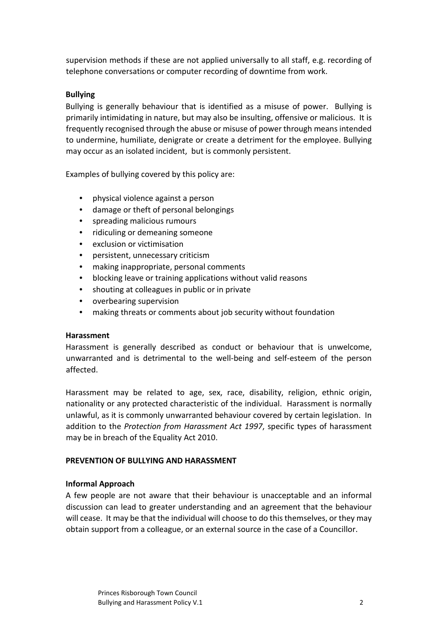supervision methods if these are not applied universally to all staff, e.g. recording of telephone conversations or computer recording of downtime from work.

#### **Bullying**

Bullying is generally behaviour that is identified as a misuse of power. Bullying is primarily intimidating in nature, but may also be insulting, offensive or malicious. It is frequently recognised through the abuse or misuse of power through means intended to undermine, humiliate, denigrate or create a detriment for the employee. Bullying may occur as an isolated incident, but is commonly persistent.

Examples of bullying covered by this policy are:

- physical violence against a person
- damage or theft of personal belongings
- spreading malicious rumours
- ridiculing or demeaning someone
- exclusion or victimisation
- persistent, unnecessary criticism
- making inappropriate, personal comments
- blocking leave or training applications without valid reasons
- shouting at colleagues in public or in private
- overbearing supervision
- making threats or comments about job security without foundation

#### **Harassment**

Harassment is generally described as conduct or behaviour that is unwelcome, unwarranted and is detrimental to the well‐being and self‐esteem of the person affected.

Harassment may be related to age, sex, race, disability, religion, ethnic origin, nationality or any protected characteristic of the individual. Harassment is normally unlawful, as it is commonly unwarranted behaviour covered by certain legislation. In addition to the *Protection from Harassment Act 1997*, specific types of harassment may be in breach of the Equality Act 2010.

## **PREVENTION OF BULLYING AND HARASSMENT**

## **Informal Approach**

A few people are not aware that their behaviour is unacceptable and an informal discussion can lead to greater understanding and an agreement that the behaviour will cease. It may be that the individual will choose to do this themselves, or they may obtain support from a colleague, or an external source in the case of a Councillor.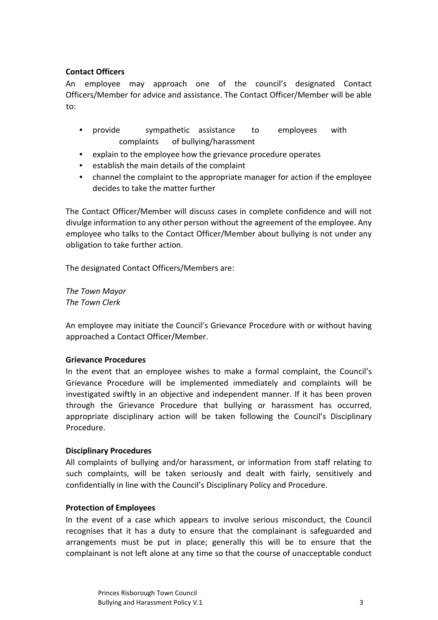## **Contact Officers**

An employee may approach one of the council's designated Contact Officers/Member for advice and assistance. The Contact Officer/Member will be able to:

- provide sympathetic assistance to employees with complaints of bullying/harassment
- explain to the employee how the grievance procedure operates
- establish the main details of the complaint
- channel the complaint to the appropriate manager for action if the employee decides to take the matter further

The Contact Officer/Member will discuss cases in complete confidence and will not divulge information to any other person without the agreement of the employee. Any employee who talks to the Contact Officer/Member about bullying is not under any obligation to take further action.

The designated Contact Officers/Members are:

*The Town Mayor The Town Clerk* 

An employee may initiate the Council's Grievance Procedure with or without having approached a Contact Officer/Member.

#### **Grievance Procedures**

In the event that an employee wishes to make a formal complaint, the Council's Grievance Procedure will be implemented immediately and complaints will be investigated swiftly in an objective and independent manner. If it has been proven through the Grievance Procedure that bullying or harassment has occurred, appropriate disciplinary action will be taken following the Council's Disciplinary Procedure.

#### **Disciplinary Procedures**

All complaints of bullying and/or harassment, or information from staff relating to such complaints, will be taken seriously and dealt with fairly, sensitively and confidentially in line with the Council's Disciplinary Policy and Procedure.

#### **Protection of Employees**

In the event of a case which appears to involve serious misconduct, the Council recognises that it has a duty to ensure that the complainant is safeguarded and arrangements must be put in place; generally this will be to ensure that the complainant is not left alone at any time so that the course of unacceptable conduct